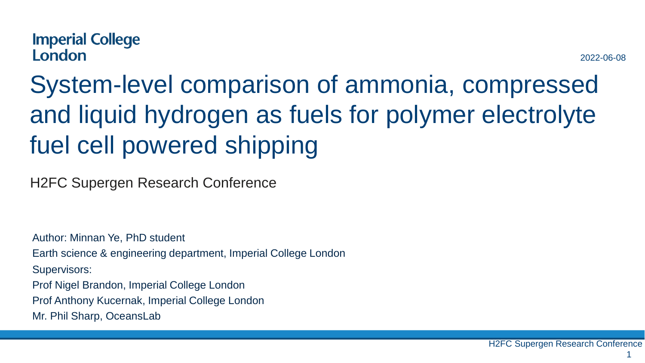# System-level comparison of ammonia, compressed and liquid hydrogen as fuels for polymer electrolyte fuel cell powered shipping

H2FC Supergen Research Conference

Author: Minnan Ye, PhD student Earth science & engineering department, Imperial College London Supervisors: Prof Nigel Brandon, Imperial College London Prof Anthony Kucernak, Imperial College London Mr. Phil Sharp, OceansLab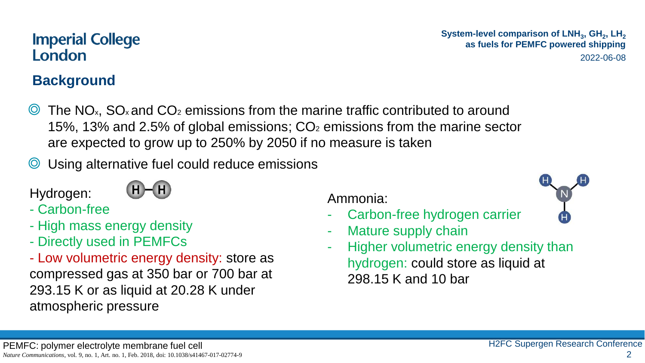# **Background**

- $\odot$  The NO<sub>x</sub>. SO<sub>x</sub> and CO<sub>2</sub> emissions from the marine traffic contributed to around 15%, 13% and 2.5% of global emissions;  $CO<sub>2</sub>$  emissions from the marine sector are expected to grow up to 250% by 2050 if no measure is taken
- Using alternative fuel could reduce emissions

Hydrogen:



- High mass energy density
- Directly used in PEMFCs

- Low volumetric energy density: store as compressed gas at 350 bar or 700 bar at 293.15 K or as liquid at 20.28 K under atmospheric pressure

Ammonia:

- Carbon-free hydrogen carrier
- Mature supply chain
- Higher volumetric energy density than hydrogen: could store as liquid at 298.15 K and 10 bar

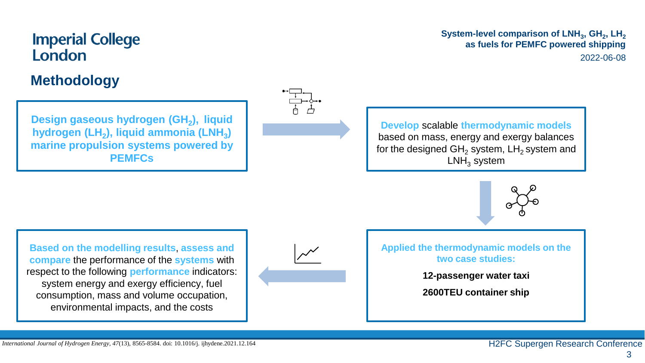#### **Methodology**

**Design gaseous hydrogen (GH<sup>2</sup> ), liquid hydrogen (LH<sup>2</sup> ), liquid ammonia (LNH<sup>3</sup> ) marine propulsion systems powered by PEMFCs**



**System-level comparison of LNH<sup>3</sup> , GH<sup>2</sup> , LH<sup>2</sup> as fuels for PEMFC powered shipping** 2022-06-08

**Develop** scalable **thermodynamic models**  based on mass, energy and exergy balances for the designed  $GH<sub>2</sub>$  system, LH<sub>2</sub> system and  $LMH_3$  system



**Based on the modelling results**, **assess and compare** the performance of the **systems** with respect to the following **performance** indicators: system energy and exergy efficiency, fuel consumption, mass and volume occupation, environmental impacts, and the costs



**Applied the thermodynamic models on the two case studies:**

**12-passenger water taxi** 

**2600TEU container ship**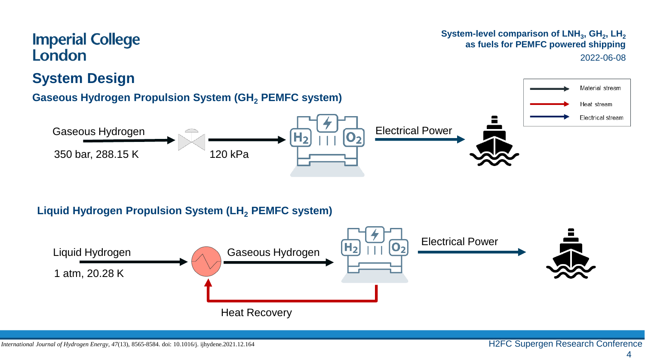#### **System-level comparison of LNH<sup>3</sup> , GH<sup>2</sup> , LH<sup>2</sup> as fuels for PEMFC powered shipping** 2022-06-08



Heat Recovery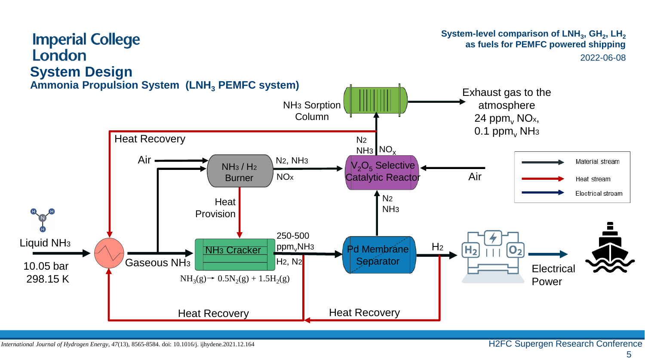#### **Imperial College** London **System Design**

#### **System-level comparison of LNH<sup>3</sup> , GH<sup>2</sup> , LH<sup>2</sup> as fuels for PEMFC powered shipping** 2022-06-08

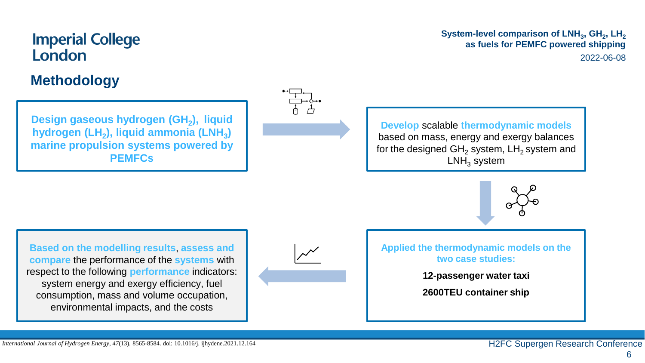#### **Methodology**

**Design gaseous hydrogen (GH<sup>2</sup> ), liquid hydrogen (LH<sup>2</sup> ), liquid ammonia (LNH<sup>3</sup> ) marine propulsion systems powered by PEMFCs**



**System-level comparison of LNH<sup>3</sup> , GH<sup>2</sup> , LH<sup>2</sup> as fuels for PEMFC powered shipping** 2022-06-08

**Develop** scalable **thermodynamic models**  based on mass, energy and exergy balances for the designed  $GH<sub>2</sub>$  system, LH<sub>2</sub> system and  $LMH_3$  system



**Based on the modelling results**, **assess and compare** the performance of the **systems** with respect to the following **performance** indicators: system energy and exergy efficiency, fuel consumption, mass and volume occupation, environmental impacts, and the costs



**Applied the thermodynamic models on the two case studies:**

**12-passenger water taxi** 

**2600TEU container ship**

6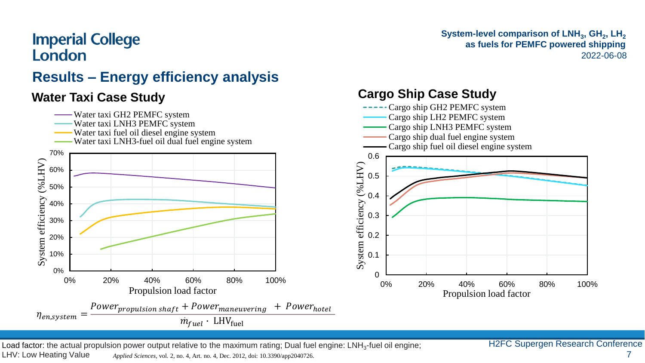# **Results – Energy efficiency analysis**



Load factor: the actual propulsion power output relative to the maximum rating; Dual fuel engine: LNH<sub>3</sub>-fuel oil engine; H2FC Supergen Research Conference LHV: Low Heating Value

*Applied Sciences*, vol. 2, no. 4, Art. no. 4, Dec. 2012, doi: 10.3390/app2040726. 7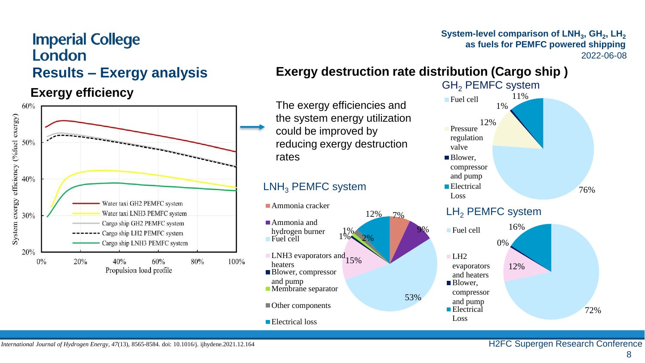#### **System-level comparison of LNH<sup>3</sup> , GH<sup>2</sup> , LH<sup>2</sup> as fuels for PEMFC powered shipping** 2022-06-08

#### **Results – Exergy analysis**

#### **Exergy efficiency**



#### **Exergy destruction rate distribution (Cargo ship )**

The exergy efficiencies and the system energy utilization could be improved by reducing exergy destruction rates

#### LNH<sub>3</sub> PEMFC system





#### LH<sub>2</sub> PEMFC system

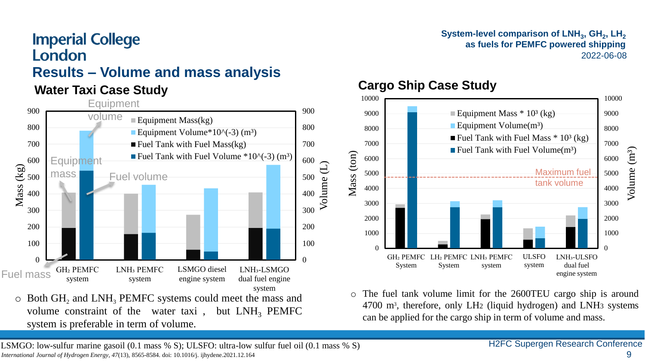#### **Results – Volume and mass analysis**

system is preferable in term of volume.



#### **System-level comparison of LNH<sup>3</sup> , GH<sup>2</sup> , LH<sup>2</sup> as fuels for PEMFC powered shipping** 2022-06-08

# **Water Taxi Case Study Cargo Ship Case Study**



o The fuel tank volume limit for the 2600TEU cargo ship is around 4700 m<sup>3</sup> , therefore, only LH2 (liquid hydrogen) and LNH3 systems can be applied for the cargo ship in term of volume and mass.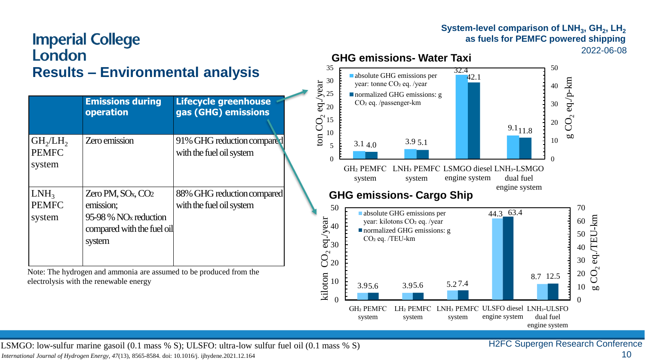#### **Imperial College** London **Results – Environmental analysis**

|                                                            | <b>Emissions during</b><br>operation                                                                          | <b>Lifecycle greenhouse</b><br>gas (GHG) emissions     |
|------------------------------------------------------------|---------------------------------------------------------------------------------------------------------------|--------------------------------------------------------|
| GH <sub>2</sub> /LH <sub>2</sub><br><b>PEMFC</b><br>system | Zero emission                                                                                                 | 91% GHG reduction compared<br>with the fuel oil system |
| $LMH_3$<br><b>PEMFC</b><br>system                          | Zero PM, $SOx, CO2$<br>emission:<br>95-98 % NO <sub>x</sub> reduction<br>compared with the fuel oil<br>system | 88% GHG reduction compared<br>with the fuel oil system |

Note: The hydrogen and ammonia are assumed to be produced from the electrolysis with the renewable energy





LSMGO: low-sulfur marine gasoil (0.1 mass % S); ULSFO: ultra-low sulfur fuel oil (0.1 mass % S)

*International Journal of Hydrogen Energy, 47*(13), 8565-8584. doi: 10.1016/j. ijhydene.2021.12.164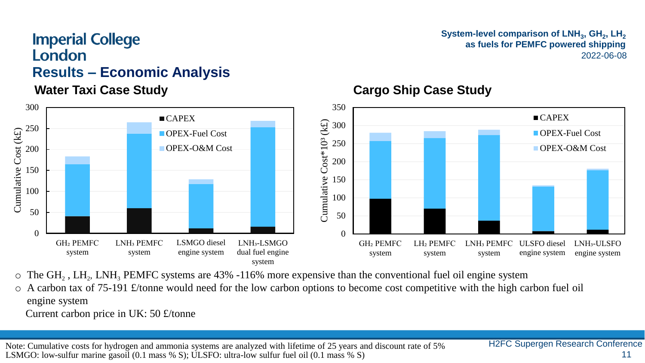#### **Results – Economic Analysis**



#### **System-level comparison of LNH<sup>3</sup> , GH<sup>2</sup> , LH<sup>2</sup> as fuels for PEMFC powered shipping** 2022-06-08



#### **Water Taxi Case Study**  Cargo Ship Case Study

- $\circ$  The GH<sub>2</sub>, LH<sub>2</sub>, LNH<sub>3</sub> PEMFC systems are 43% -116% more expensive than the conventional fuel oil engine system
- o A carbon tax of 75-191 £/tonne would need for the low carbon options to become cost competitive with the high carbon fuel oil engine system
	- Current carbon price in UK: 50 £/tonne

Note: Cumulative costs for hydrogen and ammonia systems are analyzed with lifetime of 25 years and discount rate of 5% LSMGO: low-sulfur marine gasoil (0.1 mass % S); ULSFO: ultra-low sulfur fuel oil (0.1 mass % S)